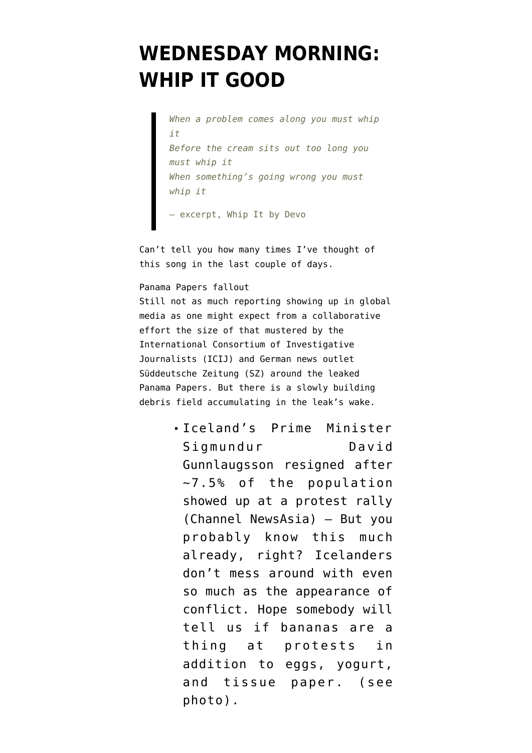## **[WEDNESDAY MORNING:](https://www.emptywheel.net/2016/04/06/wednesday-morning-whip-it-good/) [WHIP IT GOOD](https://www.emptywheel.net/2016/04/06/wednesday-morning-whip-it-good/)**

*When a problem comes along you must whip it Before the cream sits out too long you must whip it When something's going wrong you must whip it* — excerpt, Whip It by Devo

Can't tell you how many times I've thought of this song in the last couple of days.

## Panama Papers fallout

Still not as much reporting showing up in global media as one might expect from [a collaborative](http://www.poynter.org/2016/how-icij-got-hundreds-of-journalists-to-collaborate-on-the-panama-papers/405041/) [effort](http://www.poynter.org/2016/how-icij-got-hundreds-of-journalists-to-collaborate-on-the-panama-papers/405041/) the size of that mustered by the International Consortium of Investigative Journalists (ICIJ) and German news outlet Süddeutsche Zeitung (SZ) around the leaked Panama Papers. But there is a slowly building debris field accumulating in the leak's wake.

> Iceland's Prime Minister Sigmundur David Gunnlaugsson [resigned](http://www.channelnewsasia.com/news/world/iceland-pm-resigns-in/2667884.html) after ~7.5% of the population showed up at a protest rally (Channel NewsAsia) — But you probably know this much already, right? Icelanders don't mess around with even so much as the appearance of conflict. Hope somebody will tell us if bananas are a thing at protests in addition to eggs, yogurt, and tissue paper. ([see](http://icelandmonitor.mbl.is/news/politics_and_society/2016/04/04/thousands_demand_pm_resign_over_panama_papers/) [photo](http://icelandmonitor.mbl.is/news/politics_and_society/2016/04/04/thousands_demand_pm_resign_over_panama_papers/)).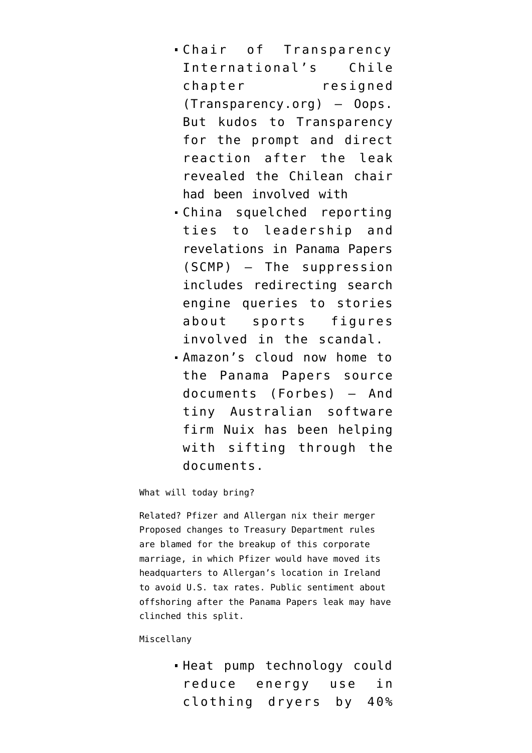- [Chair of Transparency](https://www.transparency.org/news/pressrelease/statement_on_the_resignation_of_the_chair_of_our_chapter_in_chile) [International's Chile](https://www.transparency.org/news/pressrelease/statement_on_the_resignation_of_the_chair_of_our_chapter_in_chile) [chapter resigned](https://www.transparency.org/news/pressrelease/statement_on_the_resignation_of_the_chair_of_our_chapter_in_chile) (Transparency.org) — Oops. But kudos to Transparency for the prompt and direct reaction after the leak revealed the Chilean chair had been involved with
- China s[quelched reporting](http://www.scmp.com/news/china/policies-politics/article/1933692/china-limits-panama-papers-coverage-and-denounces-tax) [ties to leadership](http://www.scmp.com/news/china/policies-politics/article/1933692/china-limits-panama-papers-coverage-and-denounces-tax) and revelations in Panama Papers (SCMP) — The suppression includes redirecting search engine queries to stories about sports figures involved in the scandal.
- Amazon's cloud [now home to](http://www.forbes.com/sites/thomasbrewster/2016/04/05/panama-papers-amazon-encryption-epic-leak/) [the Panama Papers](http://www.forbes.com/sites/thomasbrewster/2016/04/05/panama-papers-amazon-encryption-epic-leak/) source documents (Forbes) — And tiny Australian software firm Nuix [has been helping](http://www.ibtimes.com/panama-papers-inside-technology-made-it-possible-tell-story-biggest-leak-history-2348500) with sifting through the documents.

What will today bring?

Related? Pfizer and Allergan nix their merger Proposed changes to Treasury Department rules are blamed for the [breakup of this corporate](http://www.bloomberg.com/news/articles/2016-04-06/pfizer-allergan-end-160-billion-merger-amid-new-tax-rules) [marriage,](http://www.bloomberg.com/news/articles/2016-04-06/pfizer-allergan-end-160-billion-merger-amid-new-tax-rules) in which Pfizer would have moved its headquarters to Allergan's location in Ireland to avoid U.S. tax rates. Public sentiment about offshoring after the Panama Papers leak may have clinched this split.

## Miscellany

Heat pump technology could [reduce energy use in](http://phys.org/news/2016-04-energy-dryers-thermoelectric-technology.html) [clothing dryers](http://phys.org/news/2016-04-energy-dryers-thermoelectric-technology.html) by 40%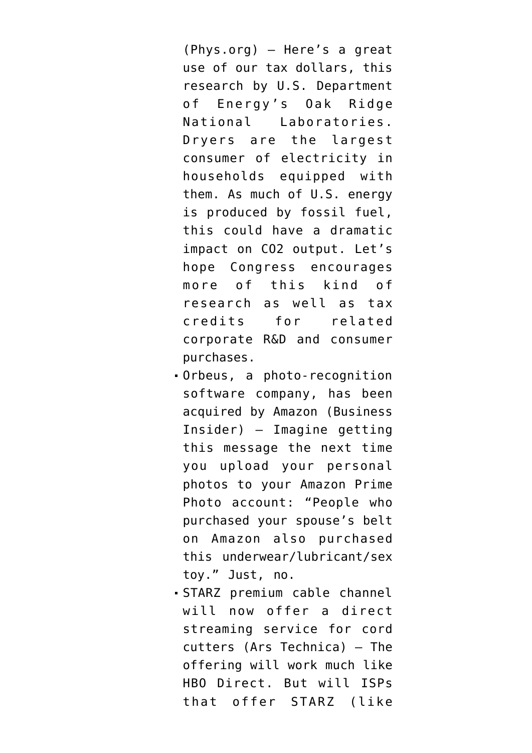(Phys.org) — Here's a great use of our tax dollars, this research by U.S. Department of Energy's Oak Ridge National Laboratories. Dryers are the largest consumer of electricity in households equipped with them. As much of U.S. energy is produced by fossil fuel, this could have a dramatic impact on CO2 output. Let's hope Congress encourages more of this kind of research as well as tax credits for related corporate R&D and consumer purchases.

- Orbeus, a photo-recognition software company, has been [acquired by Amazon](http://www.businessinsider.com/amazon-acquires-ai-startup-orbeus-report-photo-recognition-artificial-intelligence-2016-4) (Business Insider) — Imagine getting this message the next time you upload your personal photos to your Amazon Prime Photo account: "People who purchased your spouse's belt on Amazon also purchased this underwear/lubricant/sex toy." Just, no.
- STARZ premium cable channel will now [offer a direct](http://arstechnica.com/business/2016/04/starz-enters-streaming-world-with-its-own-9month-subscription-service/) [streaming service](http://arstechnica.com/business/2016/04/starz-enters-streaming-world-with-its-own-9month-subscription-service/) for cord cutters (Ars Technica) — The offering will work much like HBO Direct. But will ISPs that offer STARZ (like